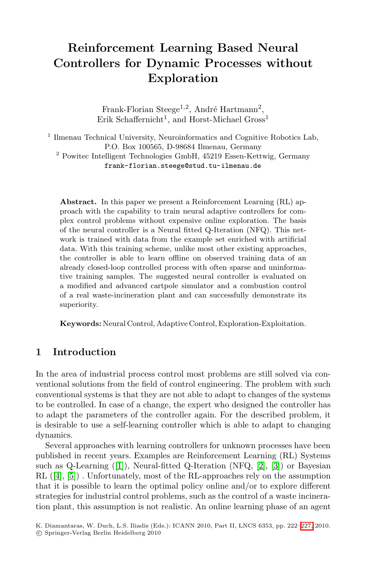## **Reinforcement Learning Based Neural Controllers for Dynamic Processes without Exploration**

Frank-Florian Steege<sup>1,2</sup>, André Hartmann<sup>2</sup>, Erik Schaffernicht<sup>1</sup>, and Horst-Michael Gross<sup>1</sup>

 $1$  Ilmenau Technical University, Neuroinformatics and Cognitive Robotics Lab, P.O. Box 100565, D-98684 Ilmenau, Germany <sup>2</sup> Powitec Intelligent Technologies GmbH, 45219 Essen-Kettwig, Germany

frank-florian.steege@stud.tu-ilmenau.de

**Abstract.** In this paper we present a Reinforcement Learning (RL) approach with the capability to train neural adaptive controllers for complex control problems without expensive online exploration. The basis of the neural controller is a Neural fitted Q-Iteration (NFQ). This network is trained with data from the example set enriched with artificial data. With this training scheme, unlike most other existing approaches, the controller is able to learn offline on observed training data of an already closed-loop controlled process with often sparse and uninformative training samples. The suggested neural controller is evaluated on a modified and advanced cartpole simulator and a combustion control of a real waste-incineration plant and can successfully demonstrate its superiority.

**Keywords:** Neural Control, Adaptive Control, Exploration-Exploitation.

### **1 Introduction**

In the area of industrial process control most problems are still solved via conventional solutions from the field of control engineering. The problem with such conventional systems is that they are not able to adapt to changes of the systems to be controlled. In case of a change, the expert who designed the controller has to adapt the parameters of the controller again. For the described problem, it is desirable to use a self-learning controller which is able to adapt to changing dynamics.

Several approaches with learning controllers for u[nkno](#page-5-0)wn processes have been published in recent years. Examples are Reinforcement Learning (RL) Systems such as Q-Learning ([1]), Neural-fitted Q-Iteration (NFQ, [2], [3]) or Bayesian RL ([4], [5]) . Unfortunately, most of the RL-approaches rely on the assumption that it is possible to learn the optimal policy online and/or to explore different strategies for industrial control problems, such as the control of a waste incineration plant, this assumption is not realistic. An online learning phase of an agent

K. Diamantaras, W. Duch, L.S. Iliadis (Eds.): ICANN 2010, Part II, LNCS 6353, pp. 222–227, 2010. -c Springer-Verlag Berlin Heidelberg 2010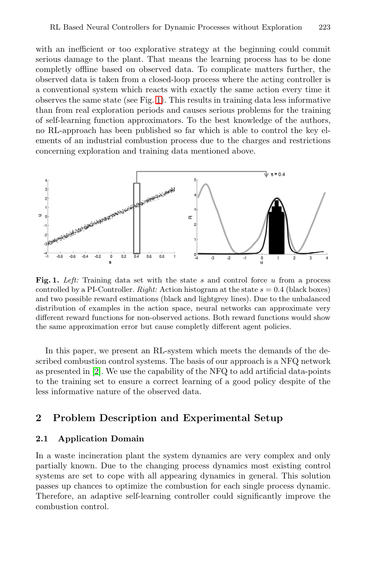with an inefficient or too explorative strategy at the beginning could commit serious damage to the plant. That means the learning process has to be done completly offline based on observed data. To complicate matters further, the observed data is taken from a closed-loop process where the acting controller is a conventional system which reacts with exactly the same action every time it observes the same state (see Fig. 1). This results in training data less informative than from real exploration periods and causes serious problems for the training of self-learning function approximators. To the best knowledge of the authors, no RL-approach has been published so far which is able to control the key elements of an industrial combustion process due to the charges and restrictions concerning exploration and training data mentioned above.



Fig. 1. Left: Training data set with the state *s* and control force *u* from a process controlled by a PI-Controller. *Right:* Action histogram at the state  $s = 0.4$  (black boxes) and two possible reward estimations (black and lightgrey lines). Due to the unbalanced distribution of examples in the action space, neural networks can approximate very different reward functions for non-observed actions. Both reward functions would show the same approximation error but cause completly different agent policies.

In this paper, we present an RL-system which meets the demands of the described combustion control systems. The basis of our approach is a NFQ network as presented in [2]. We use the capability of the NFQ to add artificial data-points to the training set to ensure a correct learning of a good policy despite of the less informative nature of the observed data.

## **2 Problem Description and Experimental Setup**

### **2.1 Application Domain**

In a waste incineration plant the system dynamics are very complex and only partially known. Due to the changing process dynamics most existing control systems are set to cope with all appearing dynamics in general. This solution passes up chances to optimize the combustion for each single process dynamic. Therefore, an adaptive self-learning controller could significantly improve the combustion control.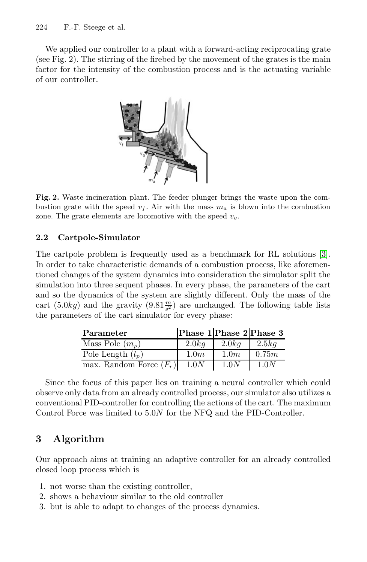### 224 F.-F. Steege et al.

We applied our controller to a plant with a forward-acting reciprocating grate (see Fig. 2). The stirring of the firebed by the movement of the grates is the main factor for the intensity of the combustion process and is the actuating variable of our controller.



**Fig. 2.** Waste incineration plant. The feeder plunger brings the waste upon the combustion grate with the speed  $v_f$ . Air with the mass  $m_a$  is blown into the combustion zone. The grate elements are locomotive with the speed  $v<sub>g</sub>$ .

# **2.2 Cartpole-Simulator**

The cartpole problem is frequently used as a benchmark for RL solutions [3]. In order to take characteristic demands of a combustion process, like aforementioned changes of the system dynamics into consideration the simulator split the simulation into three sequent phases. In every phase, the parameters of the cart and so the dynamics of the system are slightly different. Only the mass of the cart  $(5.0kg)$  and the gravity  $(9.81 \frac{m}{s^2})$  are unchanged. The following table lists<br>the parameters of the cart simulator for every phase: the parameters of the cart simulator for every phase:

| Parameter                      | Phase 1 Phase 2 Phase 3 |       |       |
|--------------------------------|-------------------------|-------|-------|
| Mass Pole $(m_p)$              | 2.0kg                   | 2.0kq | 2.5kq |
| Pole Length $(l_n)$            | 1.0m                    | 1.0m  | 0.75m |
| max. Random Force $(F_r)$ 1.0N |                         | 1.0N  | 1.0N  |

Since the focus of this paper lies on training a neural controller which could observe only data from an already controlled process, our simulator also utilizes a conventional PID-controller for controlling the actions of the cart. The maximum Control Force was limited to 5*.*0*N* for the NFQ and the PID-Controller.

## **3 Algorithm**

Our approach aims at training an adaptive controller for an already controlled closed loop process which is

- 1. not worse than the existing controller,
- 2. shows a behaviour similar to the old controller
- 3. but is able to adapt to changes of the process dynamics.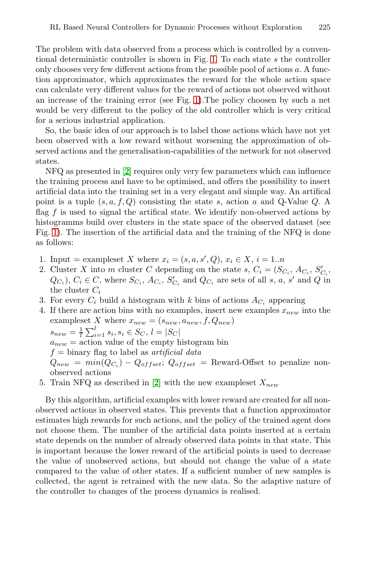The problem with data observed from a process which is controlled by a conventional deterministic controller is shown in Fig. 1. To each state *s* the controller only chooses very few different actions from the possible pool of actions *a*. A function approximator, which approximates the reward for the whole action space can calculate very different values for the reward of actions not observed without an increase of the training error (see Fig. 1).The policy choosen by such a net would be very different to the policy of the old controller which is very critical for a serious industrial application.

So, the basic idea of our approach is to label those actions which have not yet been observed with a low reward without worsening the approximation of observed actions and the generalisation-capabilities of the network for not observed states.

NFQ as presented in [2] requires only very few parameters which can influence the training process and have to be optimised, and offers the possibility to insert artificial data into the training set in a very elegant and simple way. An artifical point is a tuple (*s, a, f, Q*) consisting the state *s*, action *a* and Q-Value *Q*. A flag *f* is used to signal the artifical state. We identify non-observed actions by histogramms build over clusters in the state space of the observed dataset (see Fig. 1). The insertion of the artificial data and the training of the NFQ is done as follows:

- 1. Input = exampleset *X* where  $x_i = (s, a, s', Q), x_i \in X, i = 1..n$ <br>2. Cluster *X* into *m* cluster *C* depending on the state *s*  $C = (S, a, b')$
- 2. Cluster *X* into *m* cluster *C* depending on the state *s*,  $C_i = (S_{C_i}, A_{C_i}, S'_{C_i},$ <br> $C_{C_i})$   $C_i \in C$  where  $S_{C_i}$ ,  $A_{C_i}$ ,  $S'$  and  $C_{C_i}$  are sets of all *s<sub>n</sub>*, *s'* and *Q* in  $Q_{C_i}$ ,  $C_i \in C$ , where  $S_{C_i}$ ,  $A_{C_i}$ ,  $S'_{C_i}$  and  $Q_{C_i}$  are sets of all s, a, s' and Q in the cluster C. the cluster *<sup>C</sup><sup>i</sup>*
- 3. For every  $C_i$  build a histogram with *k* bins of actions  $A_{C_i}$  appearing
- 4. If there are action bins with no examples, insert new examples  $x_{new}$  into the exampleset *X* where  $x_{new} = (s_{new}, a_{new}, f, Q_{new})$  $s_{new} = \frac{1}{l} \sum_{i=1}^{l} s_i, s_i \in S_C, l = |S_C|$ <br>*a* = action value of the empty b  $a_{new}$  = action value of the empty histogram bin *f* = binary flag to label as *artificial data*  $Q_{new}$  =  $min(Q_{C_i}) - Q_{offset}$ ;  $Q_{offset}$  = Reward-Offset to penalize nonobserved actions
- 5. Train NFQ as described in [2] with the new exampleset *<sup>X</sup>new*

By this algorithm, artificial examples with lower reward are created for all nonobserved actions in observed states. This prevents that a function approximator estimates high rewards for such actions, and the policy of the trained agent does not choose them. The number of the artificial data points inserted at a certain state depends on the number of already observed data points in that state. This is important because the lower reward of the artificial points is used to decrease the value of unobserved actions, but should not change the value of a state compared to the value of other states. If a sufficient number of new samples is collected, the agent is retrained with the new data. So the adaptive nature of the controller to changes of the process dynamics is realised.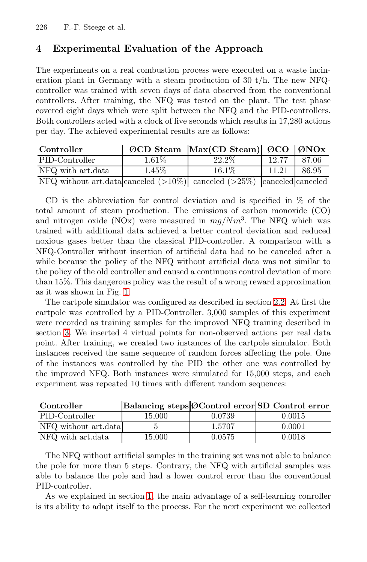226 F.-F. Steege et al.

### **4 Experimental Evaluation of the Approach**

The experiments on a real combustion process were executed on a waste incineration plant in Germany with a steam production of 30 t/h. The new NFQcontroller was trained with seven days of data observed from the conventional controllers. After training, the NFQ was tested on the plant. The test phase covered eight days which were split between the NFQ and the PID-controllers. Both controllers acted with a clock of five seconds which results in 17,280 actions per day. The achieved experimental results are as follows:

| Controller                                                                   |          | $\emptyset$ CD Steam Max(CD Steam) $\emptyset$ CO $\emptyset$ NOx |       |       |
|------------------------------------------------------------------------------|----------|-------------------------------------------------------------------|-------|-------|
| PID-Controller                                                               | $1.61\%$ | $22.2\%$                                                          | 12.77 | 87.06 |
| NFQ with art.data                                                            | $1.45\%$ | $16.1\%$                                                          | 11.21 | 86.95 |
| NFQ without art.data canceled $(>10\%)$ canceled $(>25\%)$ canceled canceled |          |                                                                   |       |       |

CD is the abbreviation for control deviation and is specified in % of the total amount of steam production. The emissions of carbon monoxide (CO) and nitrogen oxide (NOx) were measured in *mg/Nm*<sup>3</sup>. The NFQ which was trained with additional data achieved a better control deviation and reduced noxious gases better than the classical PID-controller. A comparison with a NFQ-Controller without insertion of artificial data had to be canceled after a while because the policy of the NFQ without artificial data was not similar to the policy of the old controller and caused a continuous control deviation of more than 15%. This dangerous policy was the result of a wrong reward approximation as it was shown in Fig. 1.

The cartpole simulator was configured as described in section 2.2. At first the cartpole was controlled by a PID-Controller. 3,000 samples of this experiment were recorded as training samples for the improved NFQ training described in section 3. We inserted 4 virtual points for non-observed actions per real data point. After training, we created two instances of the cartpole simulator. Both instances received the same sequence of random forces affecting the pole. One of the instances was controlled by the PID the other one was controlled by the improved NFQ. Both instances were simulated for 15,000 steps, and each experiment was repeated 10 times with different random sequences:

| Controller           |        |        | Balancing steps OControl error SD Control error |
|----------------------|--------|--------|-------------------------------------------------|
| PID-Controller       | 15.000 | 0.0739 | 0.0015                                          |
| NFQ without art.data |        | 1.5707 | 0.0001                                          |
| NFQ with art.data    | 15.000 | 0.0575 | 0.0018                                          |

The NFQ without artificial samples in the training set was not able to balance the pole for more than 5 steps. Contrary, the NFQ with artificial samples was able to balance the pole and had a lower control error than the conventional PID-controller.

As we explained in section 1, the main advantage of a self-learning conroller is its ability to adapt itself to the process. For the next experiment we collected